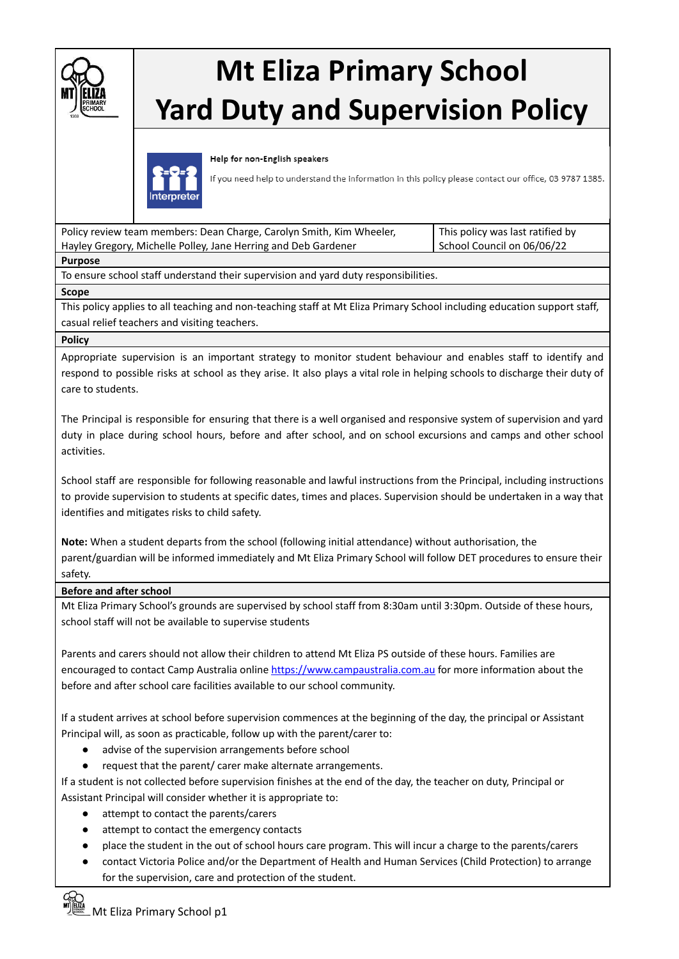

# **Mt Eliza Primary School Yard Duty and Supervision Policy**

#### Help for non-English speakers

If you need help to understand the information in this policy please contact our office, 03 9787 1385.

| $\sim$ $\sim$ $\sim$ $\sim$ $\sim$ $\sim$                            |  |
|----------------------------------------------------------------------|--|
| Hayley Gregory, Michelle Polley, Jane Herring and Deb Gardener       |  |
| Policy review team members: Dean Charge, Carolyn Smith, Kim Wheeler, |  |

This policy was last ratified by School Council on 06/06/22

#### **Purpose**

To ensure school staff understand their supervision and yard duty responsibilities.

# **Scope**

This policy applies to all teaching and non-teaching staff at Mt Eliza Primary School including education support staff, casual relief teachers and visiting teachers.

# **Policy**

Appropriate supervision is an important strategy to monitor student behaviour and enables staff to identify and respond to possible risks at school as they arise. It also plays a vital role in helping schools to discharge their duty of care to students.

The Principal is responsible for ensuring that there is a well organised and responsive system of supervision and yard duty in place during school hours, before and after school, and on school excursions and camps and other school activities.

School staff are responsible for following reasonable and lawful instructions from the Principal, including instructions to provide supervision to students at specific dates, times and places. Supervision should be undertaken in a way that identifies and mitigates risks to child safety.

**Note:** When a student departs from the school (following initial attendance) without authorisation, the parent/guardian will be informed immediately and Mt Eliza Primary School will follow DET procedures to ensure their safety.

# **Before and after school**

Mt Eliza Primary School's grounds are supervised by school staff from 8:30am until 3:30pm. Outside of these hours, school staff will not be available to supervise students

Parents and carers should not allow their children to attend Mt Eliza PS outside of these hours. Families are encouraged to contact Camp Australia online <https://www.campaustralia.com.au> for more information about the before and after school care facilities available to our school community.

If a student arrives at school before supervision commences at the beginning of the day, the principal or Assistant Principal will, as soon as practicable, follow up with the parent/carer to:

- advise of the supervision arrangements before school
- request that the parent/ carer make alternate arrangements.

If a student is not collected before supervision finishes at the end of the day, the teacher on duty, Principal or Assistant Principal will consider whether it is appropriate to:

- attempt to contact the parents/carers
- attempt to contact the emergency contacts
- place the student in the out of school hours care program. This will incur a charge to the parents/carers
- contact Victoria Police and/or the Department of Health and Human Services (Child Protection) to arrange for the supervision, care and protection of the student.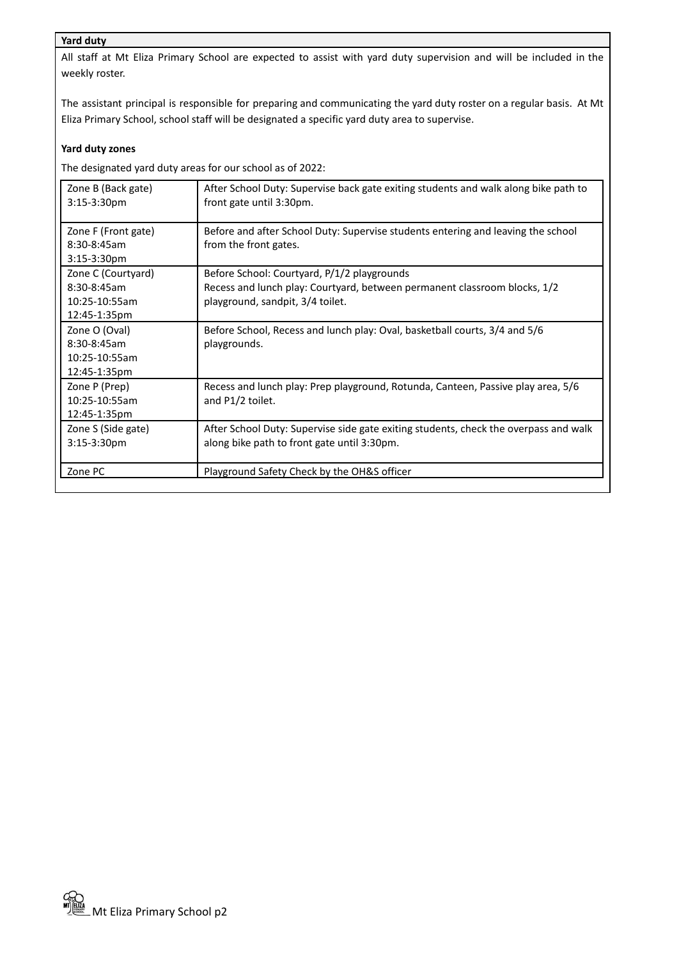# **Yard duty**

All staff at Mt Eliza Primary School are expected to assist with yard duty supervision and will be included in the weekly roster.

The assistant principal is responsible for preparing and communicating the yard duty roster on a regular basis. At Mt Eliza Primary School, school staff will be designated a specific yard duty area to supervise.

# **Yard duty zones**

The designated yard duty areas for our school as of 2022:

| Zone B (Back gate)<br>$3:15-3:30$ pm                                 | After School Duty: Supervise back gate exiting students and walk along bike path to<br>front gate until 3:30pm.                                              |
|----------------------------------------------------------------------|--------------------------------------------------------------------------------------------------------------------------------------------------------------|
| Zone F (Front gate)<br>$8:30-8:45am$<br>$3:15-3:30$ pm               | Before and after School Duty: Supervise students entering and leaving the school<br>from the front gates.                                                    |
| Zone C (Courtyard)<br>$8:30-8:45am$<br>10:25-10:55am<br>12:45-1:35pm | Before School: Courtyard, P/1/2 playgrounds<br>Recess and lunch play: Courtyard, between permanent classroom blocks, 1/2<br>playground, sandpit, 3/4 toilet. |
| Zone O (Oval)<br>$8:30 - 8:45$ am<br>$10:25-10:55am$<br>12:45-1:35pm | Before School, Recess and lunch play: Oval, basketball courts, 3/4 and 5/6<br>playgrounds.                                                                   |
| Zone P (Prep)<br>10:25-10:55am<br>12:45-1:35pm                       | Recess and lunch play: Prep playground, Rotunda, Canteen, Passive play area, 5/6<br>and P1/2 toilet.                                                         |
| Zone S (Side gate)<br>$3:15-3:30$ pm                                 | After School Duty: Supervise side gate exiting students, check the overpass and walk<br>along bike path to front gate until 3:30pm.                          |
| Zone PC                                                              | Playground Safety Check by the OH&S officer                                                                                                                  |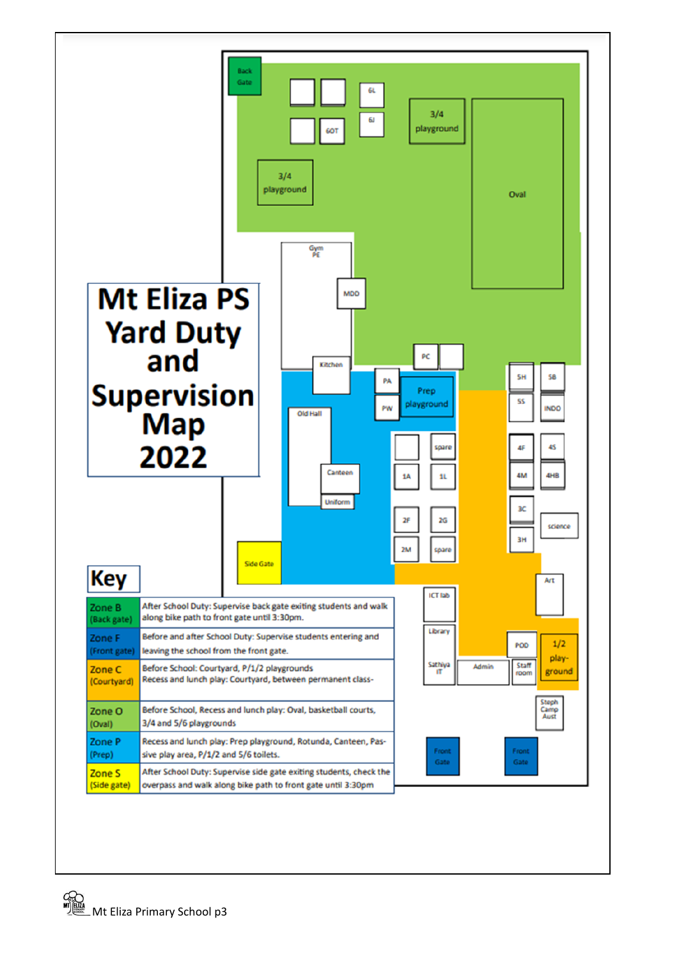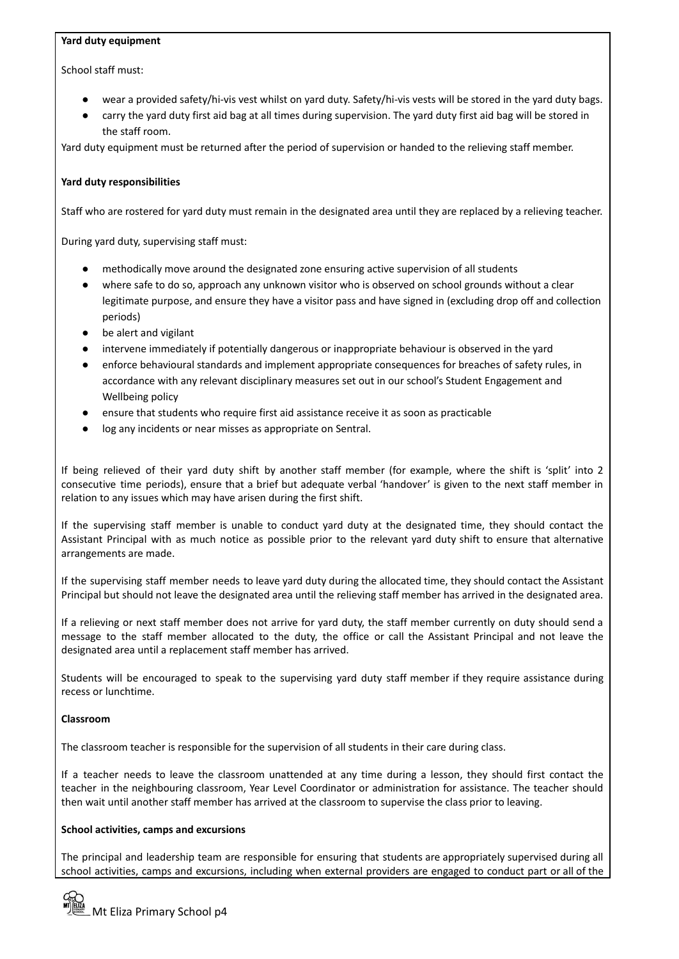#### **Yard duty equipment**

School staff must:

- wear a provided safety/hi-vis vest whilst on yard duty. Safety/hi-vis vests will be stored in the yard duty bags.
- carry the yard duty first aid bag at all times during supervision. The yard duty first aid bag will be stored in the staff room.

Yard duty equipment must be returned after the period of supervision or handed to the relieving staff member.

# **Yard duty responsibilities**

Staff who are rostered for yard duty must remain in the designated area until they are replaced by a relieving teacher.

During yard duty, supervising staff must:

- methodically move around the designated zone ensuring active supervision of all students
- where safe to do so, approach any unknown visitor who is observed on school grounds without a clear legitimate purpose, and ensure they have a visitor pass and have signed in (excluding drop off and collection periods)
- be alert and vigilant
- intervene immediately if potentially dangerous or inappropriate behaviour is observed in the yard
- enforce behavioural standards and implement appropriate consequences for breaches of safety rules, in accordance with any relevant disciplinary measures set out in our school's Student Engagement and Wellbeing policy
- ensure that students who require first aid assistance receive it as soon as practicable
- log any incidents or near misses as appropriate on Sentral.

If being relieved of their yard duty shift by another staff member (for example, where the shift is 'split' into 2 consecutive time periods), ensure that a brief but adequate verbal 'handover' is given to the next staff member in relation to any issues which may have arisen during the first shift.

If the supervising staff member is unable to conduct yard duty at the designated time, they should contact the Assistant Principal with as much notice as possible prior to the relevant yard duty shift to ensure that alternative arrangements are made.

If the supervising staff member needs to leave yard duty during the allocated time, they should contact the Assistant Principal but should not leave the designated area until the relieving staff member has arrived in the designated area.

If a relieving or next staff member does not arrive for yard duty, the staff member currently on duty should send a message to the staff member allocated to the duty, the office or call the Assistant Principal and not leave the designated area until a replacement staff member has arrived.

Students will be encouraged to speak to the supervising yard duty staff member if they require assistance during recess or lunchtime.

#### **Classroom**

The classroom teacher is responsible for the supervision of all students in their care during class.

If a teacher needs to leave the classroom unattended at any time during a lesson, they should first contact the teacher in the neighbouring classroom, Year Level Coordinator or administration for assistance. The teacher should then wait until another staff member has arrived at the classroom to supervise the class prior to leaving.

#### **School activities, camps and excursions**

The principal and leadership team are responsible for ensuring that students are appropriately supervised during all school activities, camps and excursions, including when external providers are engaged to conduct part or all of the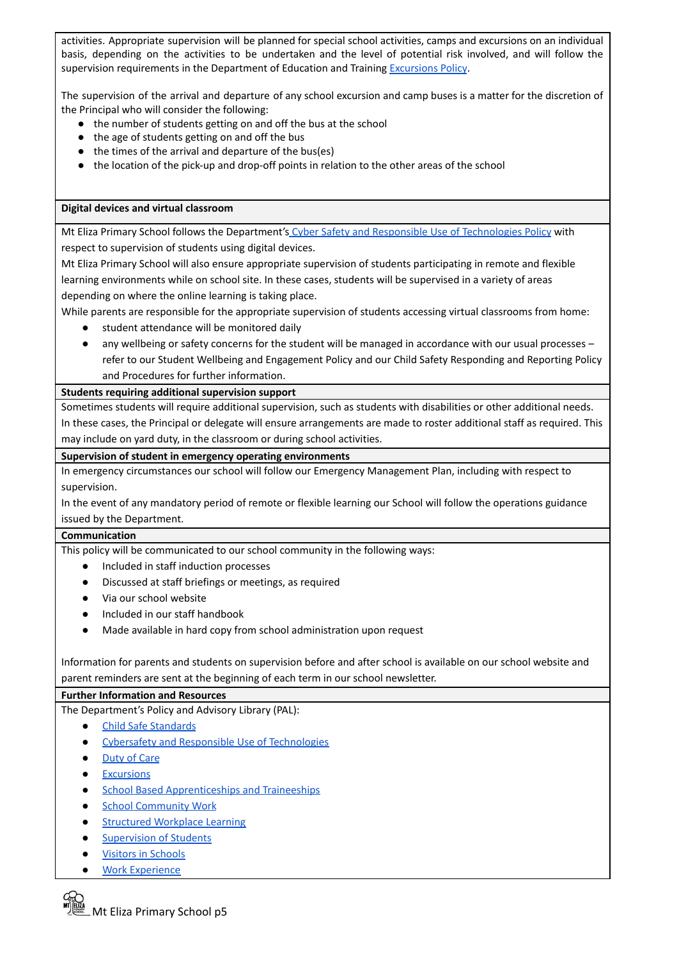activities. Appropriate supervision will be planned for special school activities, camps and excursions on an individual basis, depending on the activities to be undertaken and the level of potential risk involved, and will follow the supervision requirements in the Department of Education and Training **[Excursions](https://www2.education.vic.gov.au/pal/excursions/policy) Policy**.

The supervision of the arrival and departure of any school excursion and camp buses is a matter for the discretion of the Principal who will consider the following:

- the number of students getting on and off the bus at the school
- the age of students getting on and off the bus
- the times of the arrival and departure of the bus(es)
- the location of the pick-up and drop-off points in relation to the other areas of the school

# **Digital devices and virtual classroom**

Mt Eliza Primary School follows the Department's Cyber Safety and Responsible Use of [Technologies](https://www2.education.vic.gov.au/pal/cybersafety/policy) Policy with respect to supervision of students using digital devices.

Mt Eliza Primary School will also ensure appropriate supervision of students participating in remote and flexible learning environments while on school site. In these cases, students will be supervised in a variety of areas depending on where the online learning is taking place.

While parents are responsible for the appropriate supervision of students accessing virtual classrooms from home:

- student attendance will be monitored daily
- any wellbeing or safety concerns for the student will be managed in accordance with our usual processes refer to our Student Wellbeing and Engagement Policy and our Child Safety Responding and Reporting Policy and Procedures for further information.

# **Students requiring additional supervision support**

Sometimes students will require additional supervision, such as students with disabilities or other additional needs. In these cases, the Principal or delegate will ensure arrangements are made to roster additional staff as required. This may include on yard duty, in the classroom or during school activities.

**Supervision of student in emergency operating environments**

In emergency circumstances our school will follow our Emergency Management Plan, including with respect to supervision.

In the event of any mandatory period of remote or flexible learning our School will follow the operations guidance issued by the Department.

#### **Communication**

This policy will be communicated to our school community in the following ways:

- Included in staff induction processes
- Discussed at staff briefings or meetings, as required
- Via our school website
- Included in our staff handbook
- Made available in hard copy from school administration upon request

Information for parents and students on supervision before and after school is available on our school website and parent reminders are sent at the beginning of each term in our school newsletter.

#### **Further Information and Resources**

The Department's Policy and Advisory Library (PAL):

- **Child Safe [Standards](https://www2.education.vic.gov.au/pal/child-safe-standards/policy)**
- **Cybersafety and Responsible Use of [Technologies](https://www2.education.vic.gov.au/pal/cybersafety/policy)**
- [Duty](https://www2.education.vic.gov.au/pal/duty-of-care/policy) of Care
- **[Excursions](https://www2.education.vic.gov.au/pal/excursions/policy)**
- **School Based [Apprenticeships](https://www2.education.vic.gov.au/pal/school-based-apprenticeships-and-traineeships/policy) and Traineeships**
- **School [Community](https://www2.education.vic.gov.au/pal/school-community-work/policy) Work**
- **Structured [Workplace](https://www2.education.vic.gov.au/pal/structured-workplace-learning/policy) Learning**
- **[Supervision](https://www2.education.vic.gov.au/pal/supervision-students/policy) of Students**
- Visitors in [Schools](https://www2.education.vic.gov.au/pal/visitors/policy)
- Work [Experience](https://www2.education.vic.gov.au/pal/work-experience/policy)